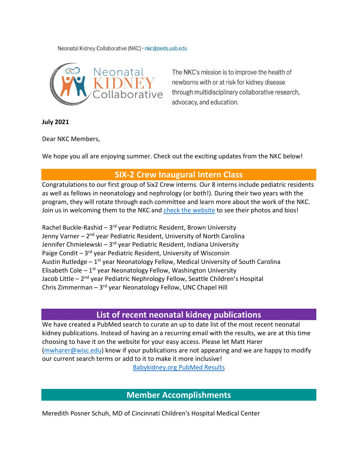Neonatal Kidney Collaborative (NKC) · nkc@peds.uab.edu



The NKC's mission is to improve the health of newborns with or at risk for kidney disease through multidisciplinary collaborative research, advocacy, and education.

**July 2021**

Dear NKC Members,

We hope you all are enjoying summer. Check out the exciting updates from the NKC below!

## **SIX-2 Crew Inaugural Intern Class**

Congratulations to our first group of Six2 Crew interns. Our 8 interns include pediatric residents as well as fellows in neonatology and nephrology (or both!). During their two years with the program, they will rotate through each committee and learn more about the work of the NKC. Join us in welcoming them to the NKC and [check the website](https://www.babykidney.org/) to see their photos and bios!

Rachel Buckle-Rashid –  $3^{rd}$  year Pediatric Resident, Brown University Jenny Varner – 2<sup>nd</sup> year Pediatric Resident, University of North Carolina Jennifer Chmielewski – 3<sup>rd</sup> year Pediatric Resident, Indiana University Paige Condit  $-3<sup>rd</sup>$  year Pediatric Resident, University of Wisconsin Austin Rutledge  $-1^{st}$  year Neonatology Fellow, Medical University of South Carolina Elisabeth Cole  $-1^{st}$  year Neonatology Fellow, Washington University Jacob Little – 2<sup>nd</sup> year Pediatric Nephrology Fellow, Seattle Children's Hospital Chris Zimmerman – 3rd year Neonatology Fellow, UNC Chapel Hill

## **List of recent neonatal kidney publications**

We have created a PubMed search to curate an up to date list of the most recent neonatal kidney publications. Instead of having an a recurring email with the results, we are at this time choosing to have it on the website for your easy access. Please let Matt Harer [\(mwharer@wisc.edu\)](mailto:mwharer@wisc.edu?subject=Neonatal%20Kidney%20Publications%20from%20PubMed%20Search) know if your publications are not appearing and we are happy to modify our current search terms or add to it to make it more inclusive!

[Babykidney.org PubMed Results](https://www.babykidney.org/aggregator/sources/1)

## **Member Accomplishments**

Meredith Posner Schuh, MD of Cincinnati Children's Hospital Medical Center